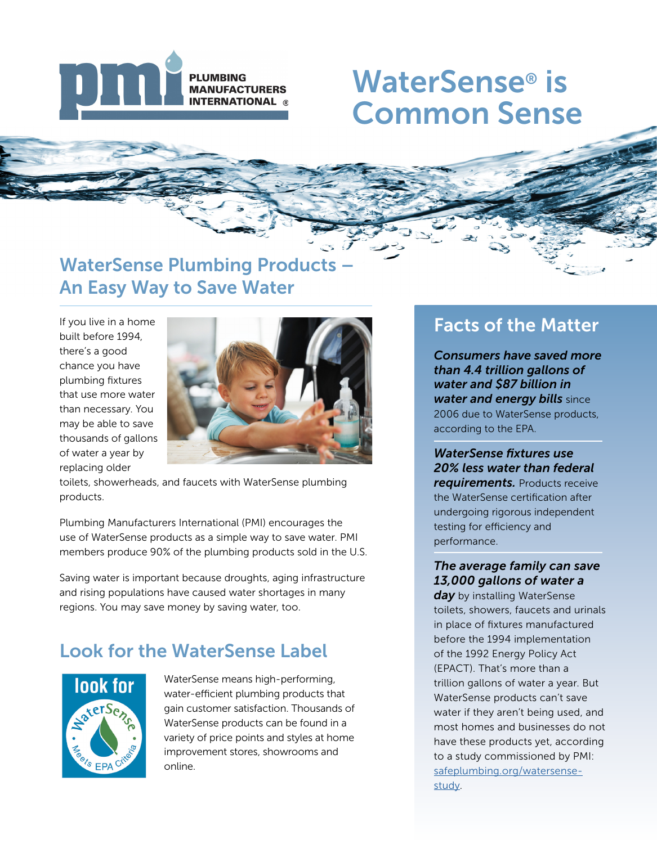

## WaterSense® is Common Sense

## WaterSense Plumbing Products – An Easy Way to Save Water

If you live in a home built before 1994, there's a good chance you have plumbing fixtures that use more water than necessary. You may be able to save thousands of gallons of water a year by replacing older



toilets, showerheads, and faucets with WaterSense plumbing products.

Plumbing Manufacturers International (PMI) encourages the use of WaterSense products as a simple way to save water. PMI members produce 90% of the plumbing products sold in the U.S.

Saving water is important because droughts, aging infrastructure and rising populations have caused water shortages in many regions. You may save money by saving water, too.

## Look for the WaterSense Label



WaterSense means high-performing, water-efficient plumbing products that gain customer satisfaction. Thousands of WaterSense products can be found in a variety of price points and styles at home improvement stores, showrooms and online.

## Facts of the Matter

*Consumers have saved more than 4.4 trillion gallons of water and \$87 billion in water and energy bills* since 2006 due to WaterSense products, according to the EPA.

*WaterSense fixtures use 20% less water than federal requirements. Products receive* the WaterSense certification after undergoing rigorous independent testing for efficiency and performance.

#### *The average family can save 13,000 gallons of water a*

*day* by installing WaterSense toilets, showers, faucets and urinals in place of fixtures manufactured before the 1994 implementation of the 1992 Energy Policy Act (EPACT). That's more than a trillion gallons of water a year. But WaterSense products can't save water if they aren't being used, and most homes and businesses do not have these products yet, according to a study commissioned by PMI: [safeplumbing.org/watersense](http://safeplumbing.org/watersense-study)[study.](http://safeplumbing.org/watersense-study)